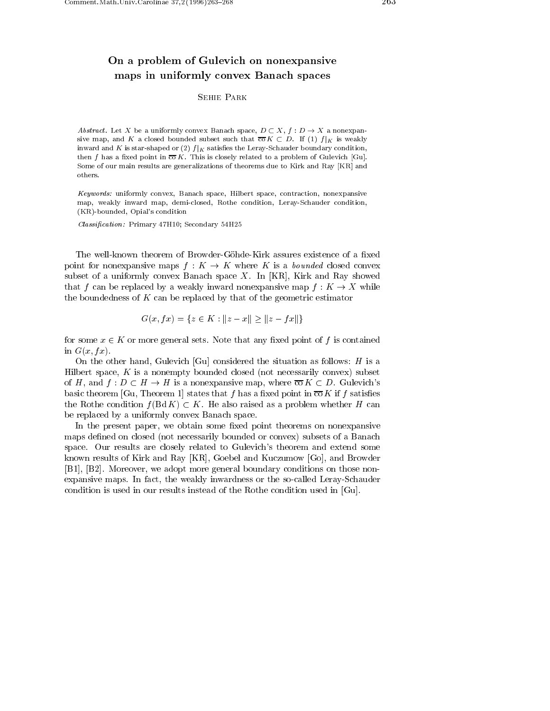## On <sup>a</sup> problem of Gulevich on nonexpansive maps in uniformly convex Banach spaces

## Sehie Park

Abstract. Let X be a uniformly convex Banach space,  $D \subset X$ ,  $f : D \to X$  a nonexpansive map, and K a closed bounded subset such that  $\overline{co} K \subset D$ . If (1)  $f|_K$  is weakly inward and K is star-shaped or (2)  $f|_K$  satisfies the Leray-Schauder boundary condition, then f has a fixed point in  $\overline{co} K$ . This is closely related to a problem of Gulevich [Gu]. Some of our main results are generalizations of theorems due to Kirk and Ray [KR] and others.

Keywords: uniformly convex, Banach space, Hilbert space, contraction, nonexpansive map, weakly inward map, demi-closed, Rothe condition, Leray-Schauder condition, (KR)-bounded, Opial's condition

Classication : Primary 47H10; Secondary 54H25

The well-known theorem of Browder-Göhde-Kirk assures existence of a fixed point for nonexpansive maps  $f: K \to K$  where K is a bounded closed convex subset of a uniformly convex Banach space X. In [KR], Kirk and Ray showed that f can be replaced by a weakly inward nonexpansive map  $f: K \to X$  while the boundedness of  $K$  can be replaced by that of the geometric estimator

$$
G(x, fx) = \{ z \in K : ||z - x|| \ge ||z - fx|| \}
$$

for some  $x \in K$  or more general sets. Note that any fixed point of f is contained in  $G(x, fx)$ .

On the other hand, Gulevich [Gu] considered the situation as follows:  $H$  is a Hilbert space,  $K$  is a nonempty bounded closed (not necessarily convex) subset of H, and  $f: D \subset H \to H$  is a nonexpansive map, where  $\overline{co} K \subset D$ . Gulevich's basic theorem [Gu, Theorem 1] states that f has a fixed point in  $\overline{co} K$  if f satisfies the Rothe condition  $f(Bd K) \subset K$ . He also raised as a problem whether H can be replaced by a uniformly convex Banach space.

In the present paper, we obtain some fixed point theorems on nonexpansive maps defined on closed (not necessarily bounded or convex) subsets of a Banach space. Our results are closely related to Gulevich's theorem and extend some known results of Kirk and Ray [KR], Goebel and Kuczumow [Go], and Browder [B1], [B2]. Moreover, we adopt more general boundary conditions on those nonexpansive maps. In fact, the weakly inwardness or the so-called Leray-Schauder condition is used in our results instead of the Rothe condition used in [Gu].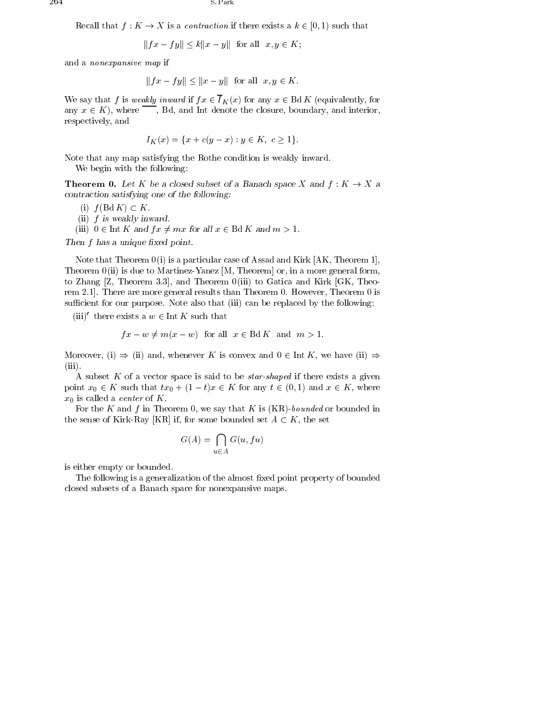Recall that  $f: K \to X$  is a *contraction* if there exists a  $k \in [0, 1)$  such that<br> $||fx - fy|| \le k||x - y||$  for all  $x, y \in K$ ;

$$
||fx - fy|| \le k||x - y|| \text{ for all } x, y \in K;
$$

and a nonexpansive map if

$$
||fx - fy|| \le ||x - y|| \text{ for all } x, y \in K.
$$

We say that f is weakly inward if  $fx \in \overline{I}_K(x)$  for any  $x \in \text{Bd } K$  (equivalently, for any  $x \in K$ , where  $\overline{\phantom{a}}$ , Bd, and Int denote the closure, boundary, and interior, respectively, and

$$
I_K(x) = \{x + c(y - x) : y \in K, c \ge 1\}.
$$

Note that any map satisfying the Rothe condition is weakly inward.

We begin with the following:

**Theorem 0.** Let K be a closed subset of a Banach space X and  $f: K \to X$  a contraction satisfying one of the following:

(i)  $f(\text{Bd } K) \subset K$ .

(ii)  $f$  is weakly inward.

(iii)  $0 \in \text{Int } K$  and  $fx \neq mx$  for all  $x \in \text{Bd } K$  and  $m > 1$ .

Then f has a unique xed point.

Note that Theorem  $0(i)$  is a particular case of Assad and Kirk [AK, Theorem 1], Theorem  $0$ (ii) is due to Martinez-Yanez [M, Theorem] or, in a more general form, to Zhang  $[Z,$  Theorem 3.3, and Theorem  $0(iii)$  to Gatica and Kirk  $[GK,$  Theorem 2.1]. There are more general results than Theorem 0. However, Theorem 0 is sufficient for our purpose. Note also that (iii) can be replaced by the following:

(iii)<sup> $\prime$ </sup> there exists a  $w \in \text{Int } K$  such that

$$
fx - w \neq m(x - w) \text{ for all } x \in \text{Bd } K \text{ and } m > 1.
$$

Moreover, (i)  $\Rightarrow$  (ii) and, whenever K is convex and  $0 \in \text{Int } K$ , we have (ii)  $\Rightarrow$ (iii).

A subset K of a vector space is said to be *star-shaped* if there exists a given point  $x_0 \in K$  such that  $tx_0 + (1 - t)x \in K$  for any  $t \in (0, 1)$  and  $x \in K$ , where  $x_0$  is called a *center* of K.

For the K and f in Theorem 0, we say that K is  $(KR)$ -bounded or bounded in the sense of Kirk-Ray [KR] if, for some bounded set  $A \subset K$ , the set

$$
G(A) = \bigcap_{u \in A} G(u, fu)
$$

is either empty or bounded.

The following is a generalization of the almost fixed point property of bounded closed subsets of a Banach space for nonexpansive maps.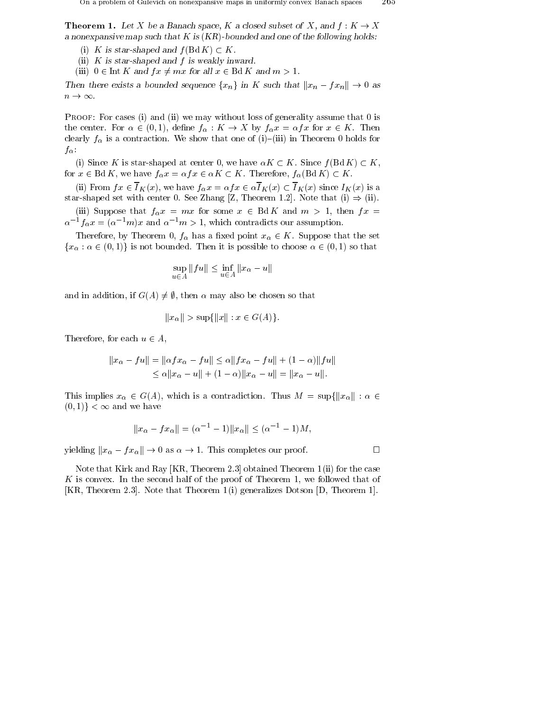**Theorem 1.** Let X be a Banach space, K a closed subset of X, and  $f: K \to X$ a nonexpansive map such that K is (KR)-bounded and one of the following holds.

- (i) K is star-shaped and  $f(\text{Bd } K) \subset K$ .
- (ii) K is star-shaped and f is weakly inward.
- (iii)  $0 \in \text{Int } K$  and  $fx \neq mx$  for all  $x \in \text{Bd } K$  and  $m > 1$ .

(ii) K is star-shaped and f is weakly inward.<br>
(iii)  $0 \in$  Int K and  $fx \neq mx$  for all  $x \in$  Bd K and  $m > 1$ .<br>
Then there exists a bounded sequence  $\{x_n\}$  in K such that  $||x_n - fx_n|| \to 0$  as (iii)  $0 \in \text{Int } K$  and<br>Then there exists a<br> $n \to \infty$ .

PROOF: For cases (i) and (ii) we may without loss of generality assume that 0 is the center. For  $\alpha \in (0,1)$ , define  $f_{\alpha}: K \to X$  by  $f_{\alpha} x = \alpha f x$  for  $x \in K$ . Then clearly  $f_{\alpha}$  is a contraction. We show that one of (i)-(iii) in Theorem 0 holds for

f<sub> $\alpha$ </sub>:<br>(i) Since K is star-shaped at center 0, we have  $\alpha K \subset K$ . Since  $f(\text{Bd } K) \subset K$ , for  $x \in \text{Bd } K$ , we have  $f_{\alpha} x = \alpha f x \in \alpha K \subset K$ . Therefore,  $f_{\alpha}(\text{Bd } K) \subset K$ .

(ii) From  $fx \in \overline{I}_K(x)$ , we have  $f_{\alpha}x = \alpha fx \in \alpha \overline{I}_K(x) \subset \overline{I}_K(x)$  since  $I_K(x)$  is a star-shaped set with center 0. See Zhang [Z, Theorem 1.2]. Note that (i)  $\Rightarrow$  (ii).

(iii) Suppose that  $f_{\alpha} x = mx$  for some  $x \in \text{Bd } K$  and  $m > 1$ , then  $fx =$  $\alpha^{-1}f_{\alpha}x = (\alpha^{-1}m)x$  and  $\alpha^{-1}m > 1$ , which contradicts our assumption.

Therefore, by Theorem 0,  $f_{\alpha}$  has a fixed point  $x_{\alpha} \in K$ . Suppose that the set  ${x_\alpha : \alpha \in (0,1)}$  is not bounded. Then it is possible to choose  $\alpha \in (0,1)$  so that<br>sup  $||fu|| < \inf ||x_\alpha - u||$ 

$$
\sup_{u \in A} ||fu|| \le \inf_{u \in A} ||x_{\alpha} - u||
$$

and in addition, if  $G(A) \neq \emptyset$ , then  $\alpha$  may also be chosen so that

$$
||x_{\alpha}|| > \sup\{||x|| : x \in G(A)\}.
$$

Therefore, for each  $u \in A$ ,

for each 
$$
u \in A
$$
,  
\n
$$
||x_{\alpha} - fu|| = ||\alpha fx_{\alpha} - fu|| \leq \alpha ||fx_{\alpha} - fu|| + (1 - \alpha) ||fu||
$$
\n
$$
\leq \alpha ||x_{\alpha} - u|| + (1 - \alpha) ||x_{\alpha} - u|| = ||x_{\alpha} - u||.
$$

This implies  $x_{\alpha} \in G(A)$ , which is a contradiction. Thus  $M = \sup\{||x_{\alpha}|| : \alpha \in$  $(0,1)\}<\infty$  and we have ve have  $\|x_{\alpha} - fx_{\alpha}\| = (\alpha^{-1} - 1)\|x_{\alpha}\| < (\alpha^{-1} - 1)M,$ 

$$
||x_{\alpha} - fx_{\alpha}|| = (\alpha^{-1} - 1)||x_{\alpha}|| \leq (\alpha^{-1} - 1)M
$$

yielding  $||x_{\alpha} - fx_{\alpha}|| \to 0$  as  $\alpha \to 1$ . This completes our proof.

Note that Kirk and Ray [KR, Theorem 2.3] obtained Theorem 1 (ii) for the case K is convex. In the second half of the proof of Theorem 1, we followed that of [KR, Theorem 2.3]. Note that Theorem 1 (i) generalizes Dotson [D, Theorem 1].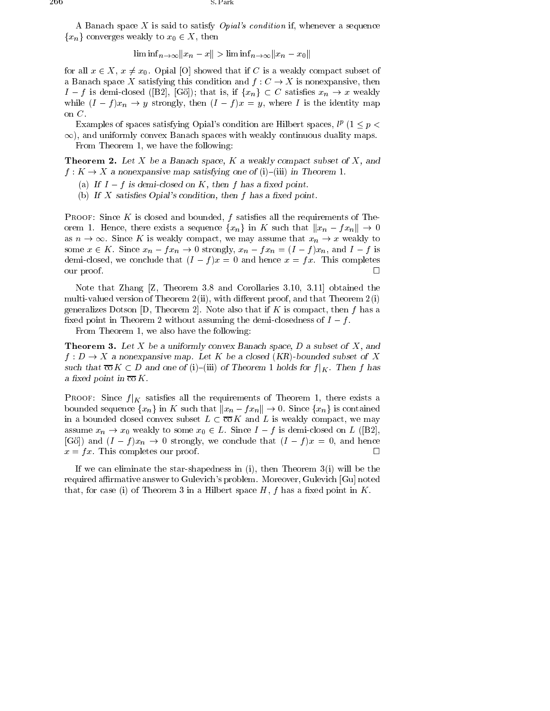A Banach space X is said to satisfy *Opial's condition* if, whenever a sequence  ${x_n}$  converges weakly to  $x_0 \in X$ , then

$$
\liminf_{n \to \infty} \|x_n - x\| > \liminf_{n \to \infty} \|x_n - x_0\|
$$

for all  $x \in X$ ,  $x \neq x_0$ . Opial [O] showed that if C is a weakly compact subset of a Banach space  $\Lambda$  satisfying this condition and  $f: \bigcup \to \Lambda$  is nonexpansive, then for all  $x \in X$ ,  $x \neq x_0$ . Opial [O] showed that if C is a weakly compact subset of a Banach space X satisfying this condition and  $f : C \to X$  is nonexpansive, then  $I - f$  is demi-closed ([B2], [Gö]); that is, if  $\{x_n\} \subset C$  while  $(I - f)x_n \to y$  strongly, then  $(I - f)x = y$ , where I is the identity map on C.

Examples of spaces satisfying Opial's condition are Hilbert spaces,  $l^p$  (1  $\leq p$   $\lt$  $\infty$ ), and uniformly convex Banach spaces with weakly continuous duality maps. From Theorem 1, we have the following:

**Theorem 2.** Let X be a Banach space, K a weakly compact subset of X, and  $f: K \to X$  a nonexpansive map satisfying one of (i)-(iii) in Theorem 1.

- (a) If  $I-f$  is demi-closed on K, then f has a fixed point.
- (b) If  $X$  satisfies Opial's condition, then  $f$  has a fixed point.

**PROOF:** Since K is closed and bounded, f satisfies all the requirements of The-PROOF: Since K is closed and bounded, f satisfies all the requirements of Theorem 1. Hence, there exists a sequence  $\{x_n\}$  in K such that  $||x_n - fx_n|| \to 0$  as  $n \to \infty$ . Since K is weakly compact, we may assume that  $x_n \to x$  orem 1. Hence, there exists a sequence  $\{x_n\}$  in K such that  $\|x_n-fx_n\|\to 0$ some  $x \in \mathbb{R}$ . Since  $x_n - j x_n \to 0$  strongly,  $x_n - j x_n = (1 - j) x_n$ , and  $1 - j$  is demi-closed, we conclude that  $(I - I)x = 0$  and hence  $x = Tx$ . This completes our proof.  $\Box$ 

Note that Zhang [Z, Theorem 3.8 and Corollaries 3.10, 3.11] obtained the multi-valued version of Theorem  $2$  (ii), with different proof, and that Theorem  $2$  (i) generalizes Dotson  $[D,$  Theorem 2. Note also that if K is compact, then f has a fixed point in Theorem 2 without assuming the demi-closedness of  $I - f$ .

From Theorem 1, we also have the following:

**Theorem 3.** Let X be a uniformly convex Banach space, D a subset of X, and  $f: D \to X$  a nonexpansive map. Let K be a closed (KR)-bounded subset of X such that co  $K \subset D$  and one of (i)-(iii) of Theorem 1 holds for  $f|_{K}$ . Then f has a iixed point in co $\mathbf{n}$  .

PROOF: Since  $f|K$  satisfies all the requirements of Theorem 1, there exists a **PROOF:** Since  $f|_K$  satisfies all the requirements of Theorem 1, there exists a bounded sequence  $\{x_n\}$  in K such that  $||x_n - fx_n|| \to 0$ . Since  $\{x_n\}$  is contained in a bounded closed convex subset  $L \subset \overline{\text{co}} K$  and L is weakly compact, we may assume  $x_n \to x_0$  weakly to some  $x_0 \in L$ . Since  $I - f$  is demi-closed on L ([B2], [Gö]) and  $(I - f)x_n \to 0$  strongly, we conclude that  $(I - f)x = 0$ , and hence  $x = fx$ . This completes our proof.

If we can eliminate the star-shapedness in (i), then Theorem 3 (i) will be the required affirmative answer to Gulevich's problem. Moreover, Gulevich [Gu] noted that, for case (i) of Theorem 3 in a Hilbert space  $H, f$  has a fixed point in  $K$ .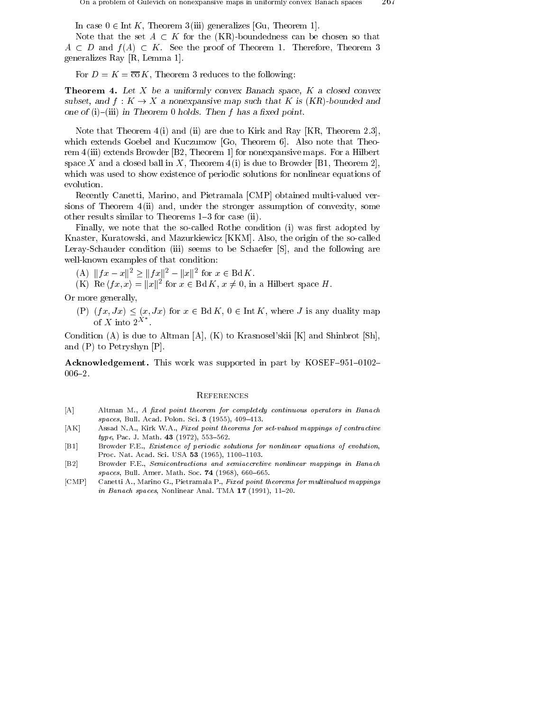In case  $0 \in \text{Int } K$ , Theorem 3 (iii) generalizes [Gu, Theorem 1].

Note that the set  $A \subset K$  for the (KR)-boundedness can be chosen so that  $A \subset D$  and  $f(A) \subset K$ . See the proof of Theorem 1. Therefore, Theorem 3 generalizes Ray [R, Lemma 1].

For  $D = K = \overline{\text{co}} K$ , Theorem 3 reduces to the following:

**Theorem 4.** Let  $X$  be a uniformly convex Banach space,  $K$  a closed convex subset, and f : K  $\rightarrow$  X a nonexpansive map such that K is (KR)-bounded and one of (i){(iii) in Theorem 0 holds. Then f has a xed point.

Note that Theorem  $4(i)$  and (ii) are due to Kirk and Ray [KR, Theorem 2.3], which extends Goebel and Kuczumow [Go, Theorem 6]. Also note that Theorem 4 (iii) extends Browder [B2, Theorem 1] for nonexpansive maps. For a Hilbert space X and a closed ball in X, Theorem 4(i) is due to Browder [B1, Theorem 2], which was used to show existence of periodic solutions for nonlinear equations of evolution.

Recently Canetti, Marino, and Pietramala [CMP] obtained multi-valued versions of Theorem  $4$ (ii) and, under the stronger assumption of convexity, some other results similar to Theorems 1-3 for case (ii).

Finally, we note that the so-called Rothe condition (i) was first adopted by Knaster, Kuratowski, and Mazurkiewicz [KKM]. Also, the origin of the so-called Leray-Schauder condition (iii) seems to be Schaefer [S], and the following are well-known examples of that condition: ray-Schauder condition (iii) seems to be Schaeter<br>
[I-known examples of that condition:<br>
(A)  $||fx - x||^2 > ||fx||^2 - ||x||^2$  for  $x \in \text{Bd } K$ .

- 
- $f(x)$  Re  $\langle Tx, x \rangle = ||x||^2$  for  $x \in \text{Bd} \Lambda, x \neq 0$ , in a Hilbert space H.

Or more generally,

(P)  $(fx, Jx) \leq (x, Jx)$  for  $x \in \text{Bd } K$ ,  $0 \in \text{Int } K$ , where J is any duality map of X into  $2^{X^*}$ .

Condition (A) is due to Altman [A], (K) to Krasnosel'skii [K] and Shinbrot [Sh], and (P) to Petryshyn [P].

Acknowledgement. This work was supported in part by KOSEF-951-0102- $006 - 2.$ 

## **REFERENCES**

- [A] Altman M., A fixed point theorem for completely continuous operators in Banach  $spaces, Bull. Acad. Polon. Sci. 3 (1955), 409-413.$
- [AK] Assad N.A., Kirk W.A., Fixed point theorems for set-valued mappings of contractive type, Pac. J. Math. 43 (1972), 553-562.
- [B1] Browder F.E., Existence of periodic solutions for nonlinear equations of evolution, Proc. Nat. Acad. Sci. USA 53 (1965), 1100-1103.
- [B2] Browder F.E., Semicontractions and semiaccretive nonlinear mappings in Banach  $spaces, Bull. Amer. Math. Soc. 74 (1968), 660-665.$
- [CMP] Canetti A., Marino G., Pietramala P., Fixed point theorems for multivalued mappings in Banach spaces, Nonlinear Anal. TMA  $17$  (1991), 11-20.